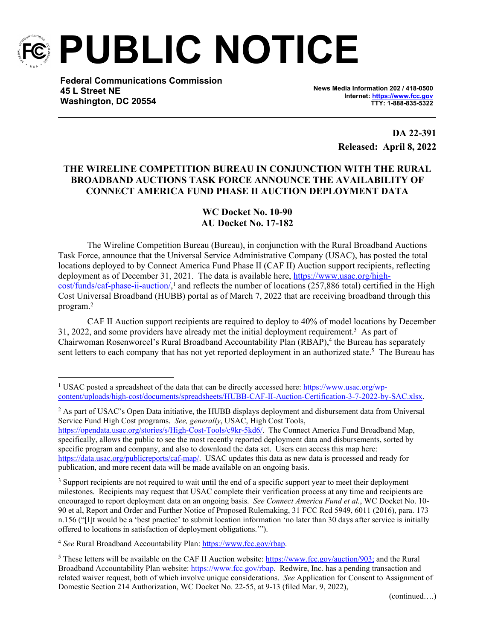

**PUBLIC NOTICE**

**Federal Communications Commission 45 L Street NE Washington, DC 20554**

**News Media Information 202 / 418-0500 Internet:<https://www.fcc.gov> TTY: 1-888-835-5322**

> **DA 22-391 Released: April 8, 2022**

## **THE WIRELINE COMPETITION BUREAU IN CONJUNCTION WITH THE RURAL BROADBAND AUCTIONS TASK FORCE ANNOUNCE THE AVAILABILITY OF CONNECT AMERICA FUND PHASE II AUCTION DEPLOYMENT DATA**

## **WC Docket No. 10-90 AU Docket No. 17-182**

The Wireline Competition Bureau (Bureau), in conjunction with the Rural Broadband Auctions Task Force, announce that the Universal Service Administrative Company (USAC), has posted the total locations deployed to by Connect America Fund Phase II (CAF II) Auction support recipients, reflecting deployment as of December 31, 2021. The data is available here, [https://www.usac.org/high](https://urldefense.proofpoint.com/v2/url?u=https-3A__www.usac.org_high-2Dcost_funds_caf-2Dphase-2Dii-2Dauction_&d=DwMFAg&c=y0h0omCe0jAUGr4gAQ02Fw&r=m1oXV4beW9r_YbgdZ8HfGbNzcCjzRF0i1naqhG5T4gQ&m=kuJxhZEKjRED8rbxgxt7ygR_8mLAtBo9EwKak0owNyW4RxDhX5PYD_p5ek4fVKNX&s=E0nzJtN1rcLlG6Z7nMqI5Juiih4ijG3GpEpcXHESSkM&e=)[cost/funds/caf-phase-ii-auction/](https://urldefense.proofpoint.com/v2/url?u=https-3A__www.usac.org_high-2Dcost_funds_caf-2Dphase-2Dii-2Dauction_&d=DwMFAg&c=y0h0omCe0jAUGr4gAQ02Fw&r=m1oXV4beW9r_YbgdZ8HfGbNzcCjzRF0i1naqhG5T4gQ&m=kuJxhZEKjRED8rbxgxt7ygR_8mLAtBo9EwKak0owNyW4RxDhX5PYD_p5ek4fVKNX&s=E0nzJtN1rcLlG6Z7nMqI5Juiih4ijG3GpEpcXHESSkM&e=),<sup>1</sup> and reflects the number of locations (257,886 total) certified in the High Cost Universal Broadband (HUBB) portal as of March 7, 2022 that are receiving broadband through this program.<sup>2</sup>

CAF II Auction support recipients are required to deploy to 40% of model locations by December 31, 2022, and some providers have already met the initial deployment requirement.<sup>3</sup> As part of Chairwoman Rosenworcel's Rural Broadband Accountability Plan (RBAP),<sup>4</sup> the Bureau has separately sent letters to each company that has not yet reported deployment in an authorized state.<sup>5</sup> The Bureau has

<sup>2</sup> As part of USAC's Open Data initiative, the HUBB displays deployment and disbursement data from Universal Service Fund High Cost programs. *See, generally*, USAC, High Cost Tools, [https://opendata.usac.org/stories/s/High-Cost-Tools/c9kr-5kd6/.](https://opendata.usac.org/stories/s/High-Cost-Tools/c9kr-5kd6/) The Connect America Fund Broadband Map, specifically, allows the public to see the most recently reported deployment data and disbursements, sorted by specific program and company, and also to download the data set. Users can access this map here: <https://data.usac.org/publicreports/caf-map/>. USAC updates this data as new data is processed and ready for publication, and more recent data will be made available on an ongoing basis.

<sup>3</sup> Support recipients are not required to wait until the end of a specific support year to meet their deployment milestones. Recipients may request that USAC complete their verification process at any time and recipients are encouraged to report deployment data on an ongoing basis. *See Connect America Fund et al.*, WC Docket No. 10- 90 et al, Report and Order and Further Notice of Proposed Rulemaking, 31 FCC Rcd 5949, 6011 (2016), para. 173 n.156 ("[I]t would be a 'best practice' to submit location information 'no later than 30 days after service is initially offered to locations in satisfaction of deployment obligations.'").

<sup>4</sup> *See* Rural Broadband Accountability Plan: [https://www.fcc.gov/rbap.](https://www.fcc.gov/rbap)

<sup>&</sup>lt;sup>1</sup> USAC posted a spreadsheet of the data that can be directly accessed here: [https://www.usac.org/wp](https://urldefense.proofpoint.com/v2/url?u=https-3A__www.usac.org_wp-2Dcontent_uploads_high-2Dcost_documents_spreadsheets_HUBB-2DCAF-2DII-2DAuction-2DCertification-2D3-2D7-2D2022-2Dby-2DSAC.xlsx&d=DwMFAg&c=y0h0omCe0jAUGr4gAQ02Fw&r=m1oXV4beW9r_YbgdZ8HfGbNzcCjzRF0i1naqhG5T4gQ&m=Qnu6lzRwu_4DMX3HG1nFvE250QSNUgF4xd9Ay1k9b-VeSr2gorlbmcZmurkNBEyc&s=gNUZ2HQqnxwrZ6sxnLZo2TflucOML4UQdKFKA94cIZM&e=)[content/uploads/high-cost/documents/spreadsheets/HUBB-CAF-II-Auction-Certification-3-7-2022-by-SAC.xlsx.](https://urldefense.proofpoint.com/v2/url?u=https-3A__www.usac.org_wp-2Dcontent_uploads_high-2Dcost_documents_spreadsheets_HUBB-2DCAF-2DII-2DAuction-2DCertification-2D3-2D7-2D2022-2Dby-2DSAC.xlsx&d=DwMFAg&c=y0h0omCe0jAUGr4gAQ02Fw&r=m1oXV4beW9r_YbgdZ8HfGbNzcCjzRF0i1naqhG5T4gQ&m=Qnu6lzRwu_4DMX3HG1nFvE250QSNUgF4xd9Ay1k9b-VeSr2gorlbmcZmurkNBEyc&s=gNUZ2HQqnxwrZ6sxnLZo2TflucOML4UQdKFKA94cIZM&e=)

<sup>&</sup>lt;sup>5</sup> These letters will be available on the CAF II Auction website:  $\frac{https://www.fcc.gov/auction/903)}{https://www.fcc.gov/auction/903)}$  $\frac{https://www.fcc.gov/auction/903)}{https://www.fcc.gov/auction/903)}$  $\frac{https://www.fcc.gov/auction/903)}{https://www.fcc.gov/auction/903)}$  and the Rural Broadband Accountability Plan website: [https://www.fcc.gov/rbap.](https://www.fcc.gov/rbap) Redwire, Inc. has a pending transaction and related waiver request, both of which involve unique considerations. *See* Application for Consent to Assignment of Domestic Section 214 Authorization, WC Docket No. 22-55, at 9-13 (filed Mar. 9, 2022),